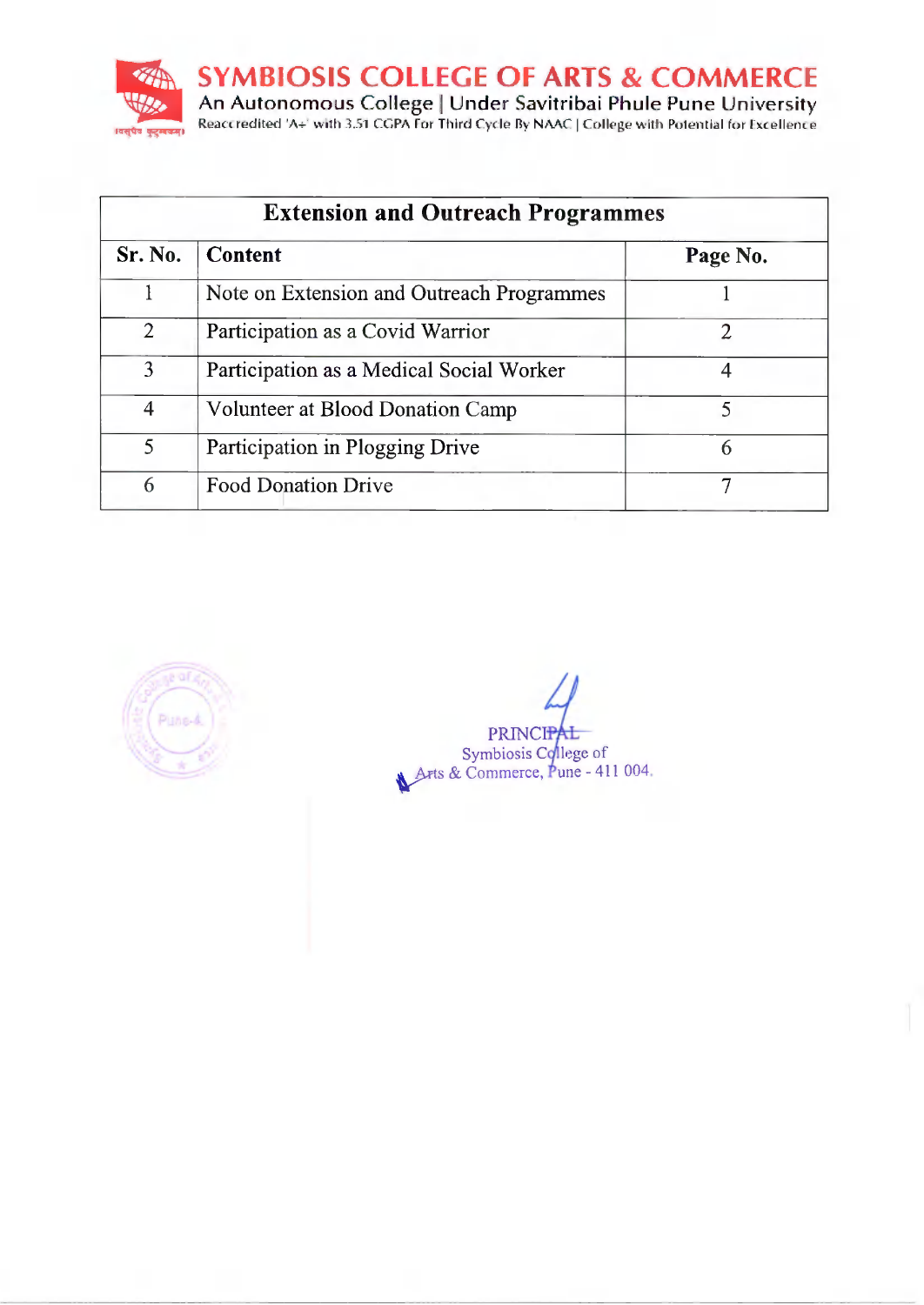**SYMBIOSIS COLLEGE OF ARTS & COMMERCE** An Autonomous College | Under Savitribai Phule Pune University<br>Reaccredited 'A+' with 3.51 CGPA for Third Cycle By NAAC | College with Potential for Excellence ।वस्**पेव** कुट्सबम।

| <b>Extension and Outreach Programmes</b> |                                           |          |  |  |
|------------------------------------------|-------------------------------------------|----------|--|--|
| Sr. No.                                  | <b>Content</b>                            | Page No. |  |  |
|                                          | Note on Extension and Outreach Programmes |          |  |  |
| $\overline{2}$                           | Participation as a Covid Warrior          | 2        |  |  |
| 3                                        | Participation as a Medical Social Worker  | 4        |  |  |
| 4                                        | Volunteer at Blood Donation Camp          | 5        |  |  |
| 5                                        | Participation in Plogging Drive           | 6        |  |  |
| 6                                        | <b>Food Donation Drive</b>                |          |  |  |



PRINCIPAL Symbiosis College of<br>Arts & Commerce, Pune - 411 004.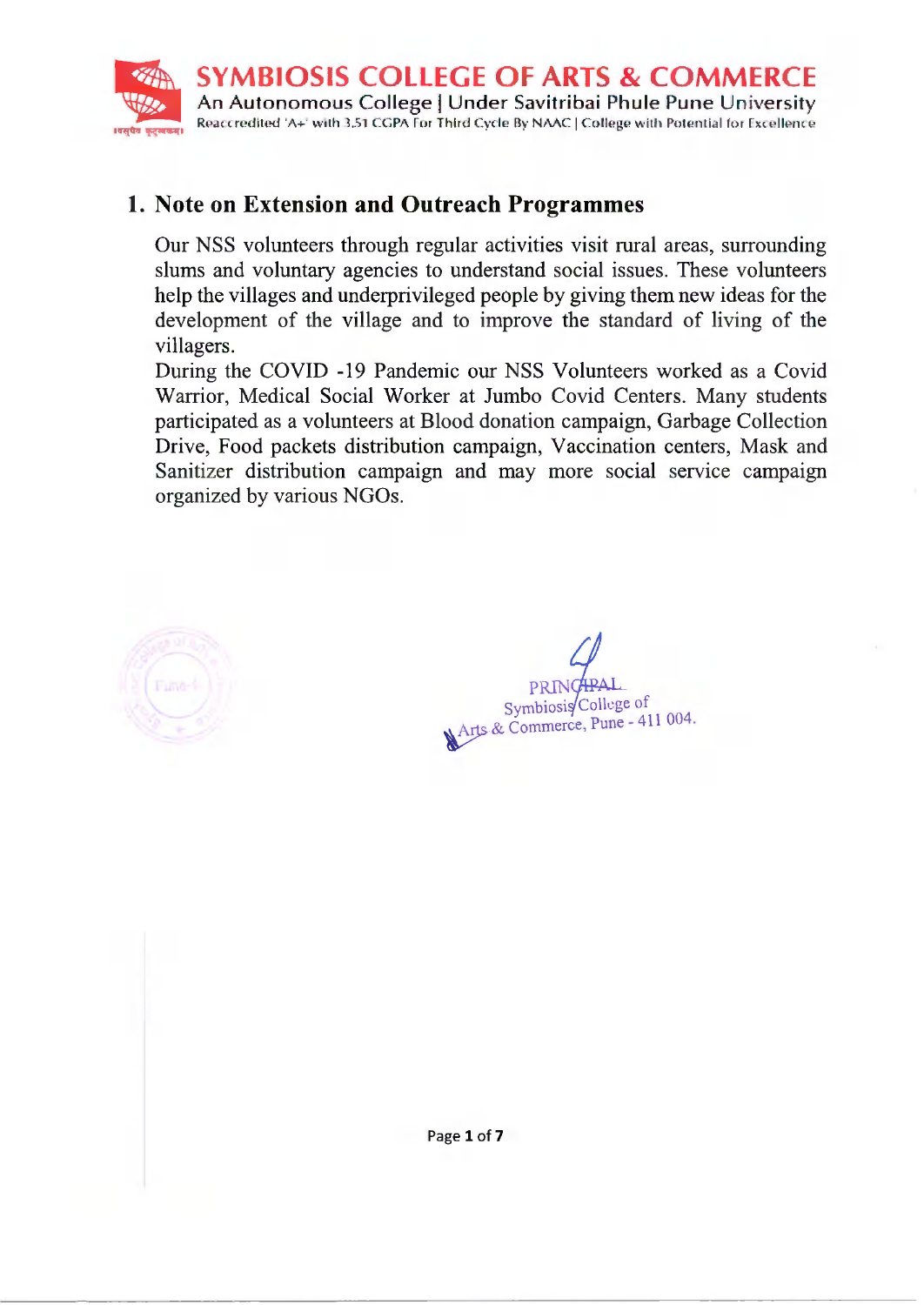

### 1. Note on Extension and Outreach Programmes

Our NSS volunteers through regular activities visit rural areas, surrounding slums and voluntary agencies to understand social issues. These volunteers help the villages and underprivileged people by giving them new ideas for the development of the village and to improve the standard of living of the villagers.

During the COVID -19 Pandemic our NSS Volunteers worked as a Covid Warrior, Medical Social Worker at Jumbo Covid Centers. Many students participated as a volunteers at Blood donation campaign, Garbage Collection Drive, Food packets distribution campaign, Vaccination centers, Mask and Sanitizer distribution campaign and may more social service campaign organized by various NGOs.



Symbiosis/College of Arts & Commerce, Pune - 411 004.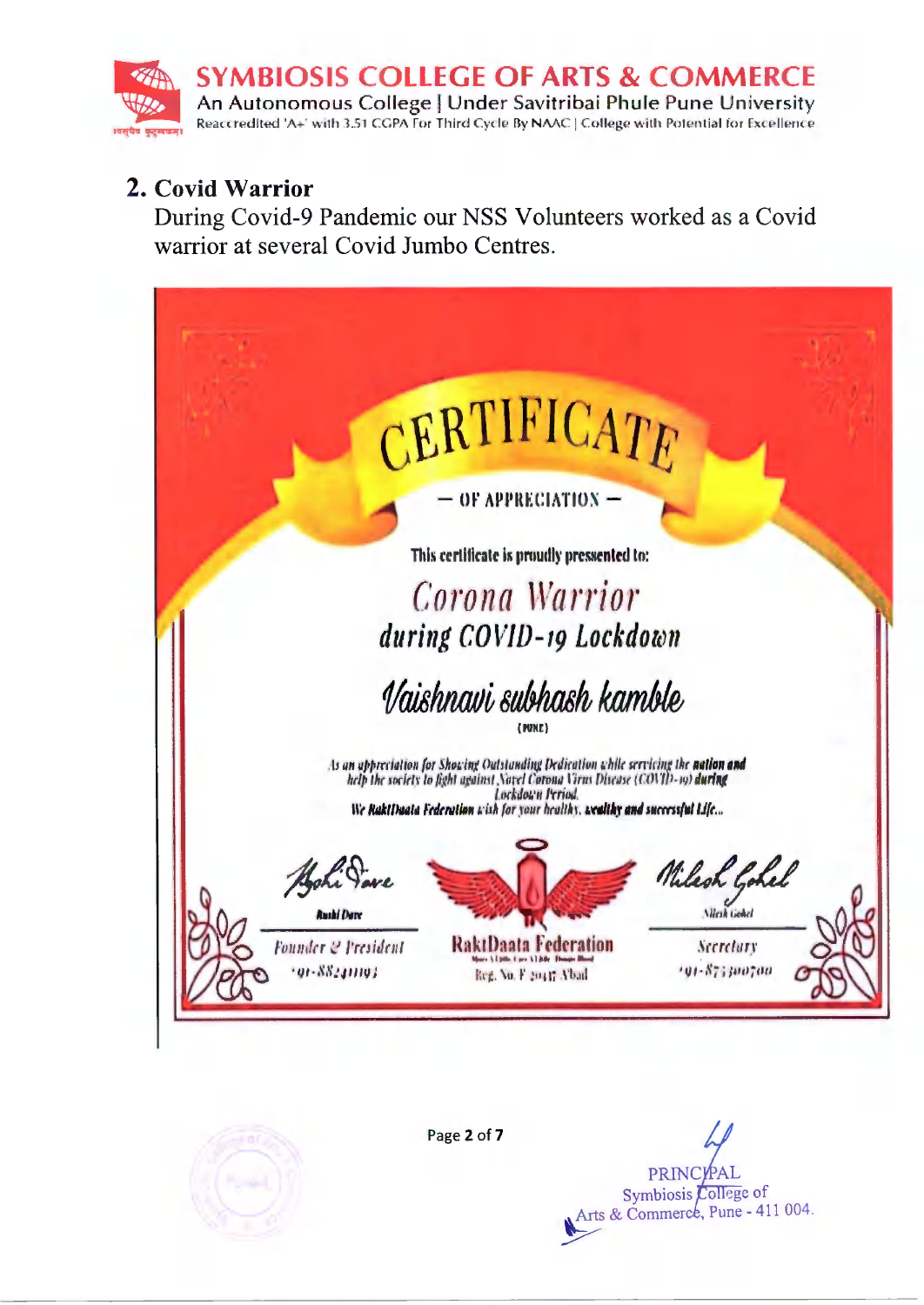

# 2. Covid Warrior

During Covid-9 Pandemic our NSS Volunteers worked as a Covid warrior at several Covid Jumbo Centres.



Page 2 of 7

**PRINCYPA** Symbiosis College of Arts & Commerce, Pune - 411 004.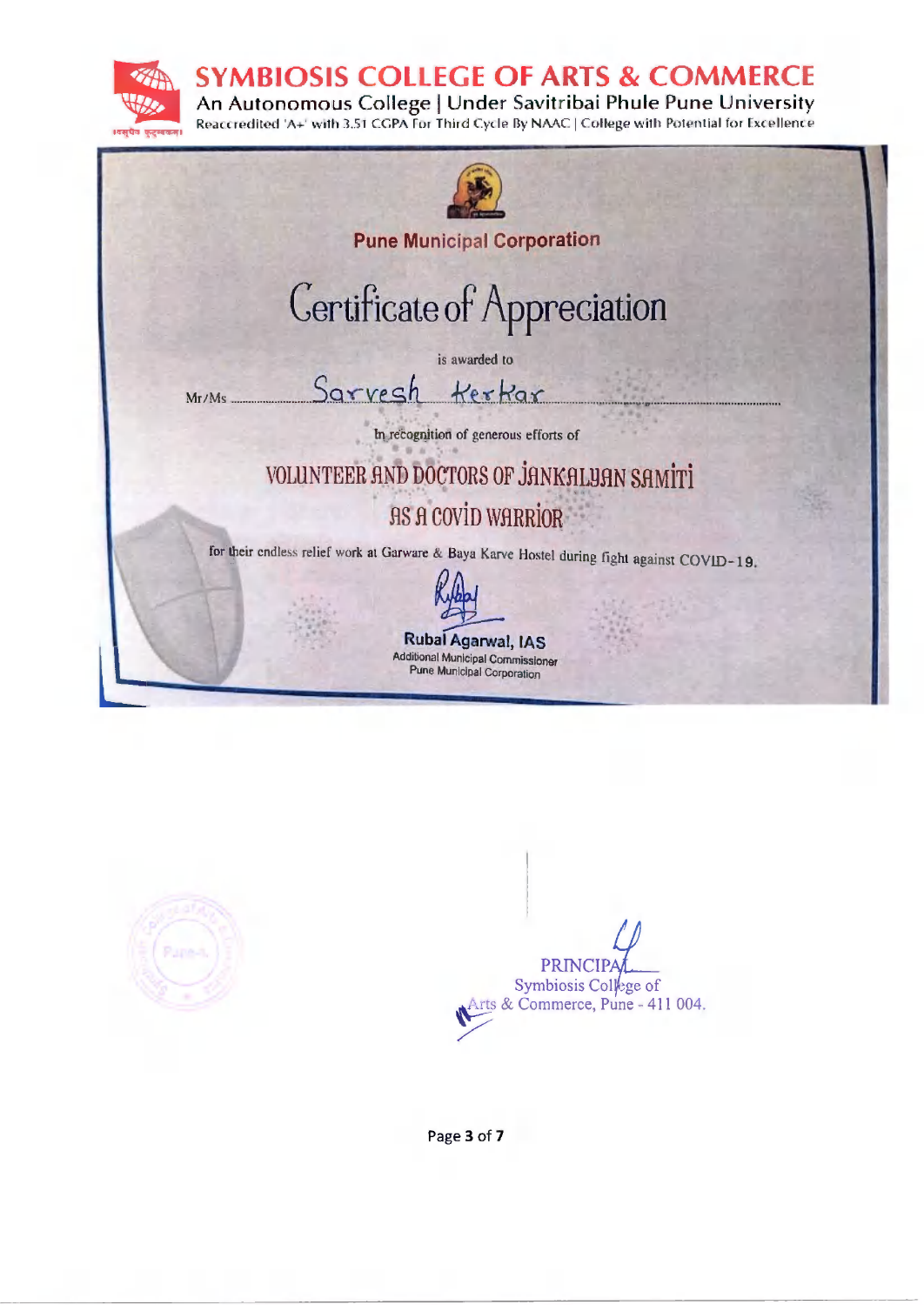**SYMBIOSIS COLLEGE OF ARTS & COMMERCE** 

An Autonomous College | Under Savitribai Phule Pune University Reaccredited 'A+' with 3.51 CGPA For Third Cycle By NAAC | College with Potential for Excellence







Page 3 of 7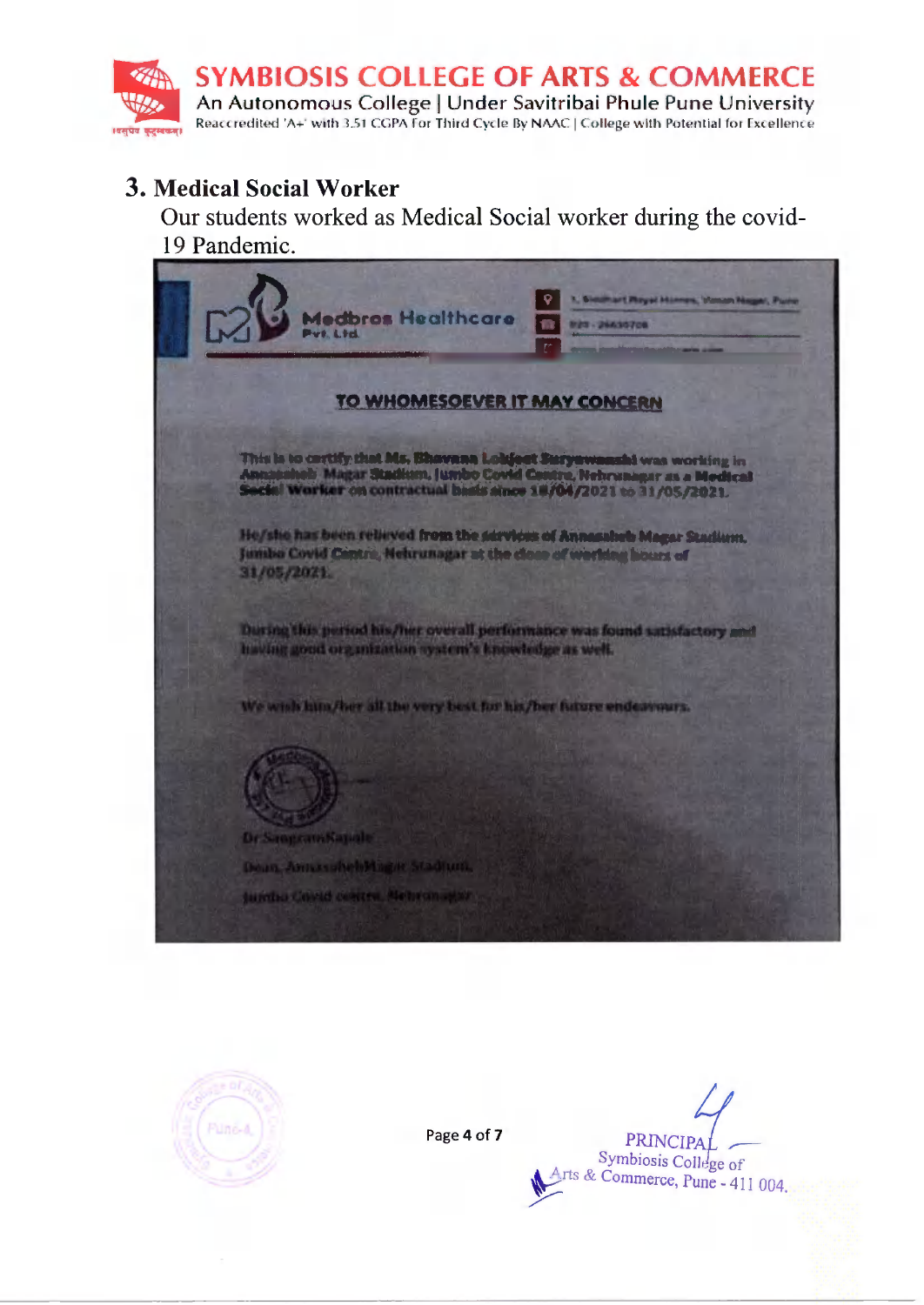

# **3. Medical Social Worker**

Our students worked as Medical Social worker during the covid-19 Pandemic.

**dedbras Healthcare W29 - 2643070** TO WHOMESOEVER IT MAY CONCERN This is to certify that Ms, Bhavana Lokfort Suryawanahi was working in<br>Annausheb: Magar Stadium, Jumbo Covid Centre, Nehrungar as a Medical<br>Secial Worker on contractual basis since 18/04/2021 to 31/05/2021. He/she has been relieved from the services of Annesaheb Magar Stadium, Jumba Covid Centre, Nehrunagar at the close of working hours of 31/05/2021 During this period his/her overall performance was found satisfactory and having good organization system's knowledge as well. We wish him/her all the very best for his/her future endeavours. Dr Sangcam Kapale Doan, Amazoniel Hagie Stadfunk Jumbo Covid centra, Nebramanor



Page 4 of 7

**PRINCIP** Symbiosis College of rts & Commerce, Pune - 411 004.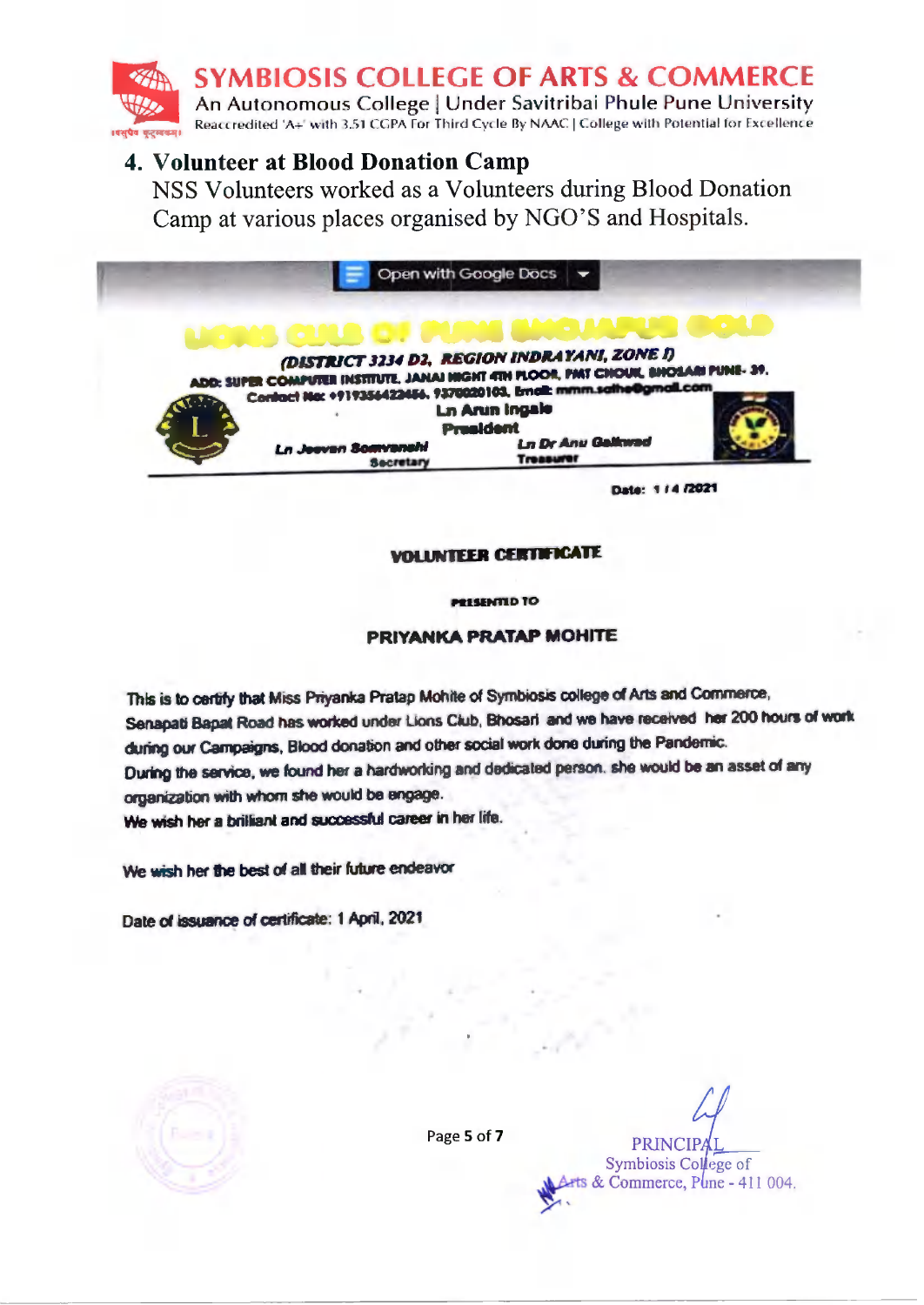**SYMBIOSIS COLLEGE OF ARTS & COMMERCE** 

An Autonomous College | Under Savitribai Phule Pune University Reaccredited 'A+' with 3.51 CGPA For Third Cycle By NAAC | College with Potential for Excellence

### 4. Volunteer at Blood Donation Camp

NSS Volunteers worked as a Volunteers during Blood Donation Camp at various places organised by NGO'S and Hospitals.

|                                                | Open with Google Docs                                                                                                                                    |  |
|------------------------------------------------|----------------------------------------------------------------------------------------------------------------------------------------------------------|--|
|                                                |                                                                                                                                                          |  |
|                                                |                                                                                                                                                          |  |
|                                                | (DISTRICT 3234 D2, REGION INDRAYANI, ZONE I)                                                                                                             |  |
|                                                |                                                                                                                                                          |  |
|                                                | ADD: SUPER COMPUTER INSTITUTE, JANAI HIGHT 4TH PLOOR, PAIT CHOUK, SHOSARI PUNE- 39.<br>Contact No: +919354423456, 9370020103, Email: mmm.sathe@gmail.com |  |
|                                                | <b>Ln Arun Ingale</b><br><b>President</b>                                                                                                                |  |
| <b>Ln Jeeven Somvanshi</b><br><b>Secretary</b> | <b>Ln Dr Anu Gallmad</b><br><b>Treasurer</b>                                                                                                             |  |

#### **VOLUNTEER CERTIFICATE**

**PRESENTID TO** 

#### PRIYANKA PRATAP MOHITE

This is to certify that Miss Priyanka Pratap Mohite of Symbiosis college of Arts and Commerce, Senapati Bapat Road has worked under Lions Ciub, Bhosari and we have received her 200 hours of work during our Campaigns, Blood donation and other social work done during the Pandemic. During the service, we found her a hardworking and dedicated person, she would be an asset of any organization with whom she would be engage. We wish her a brilliant and successful career in her life.

We wish her the best of all their future endeavor

Date of issuance of certificate: 1 April, 2021

Page 5 of 7

**PRINC** Symbiosis College of ts & Commerce, Pline - 411 004.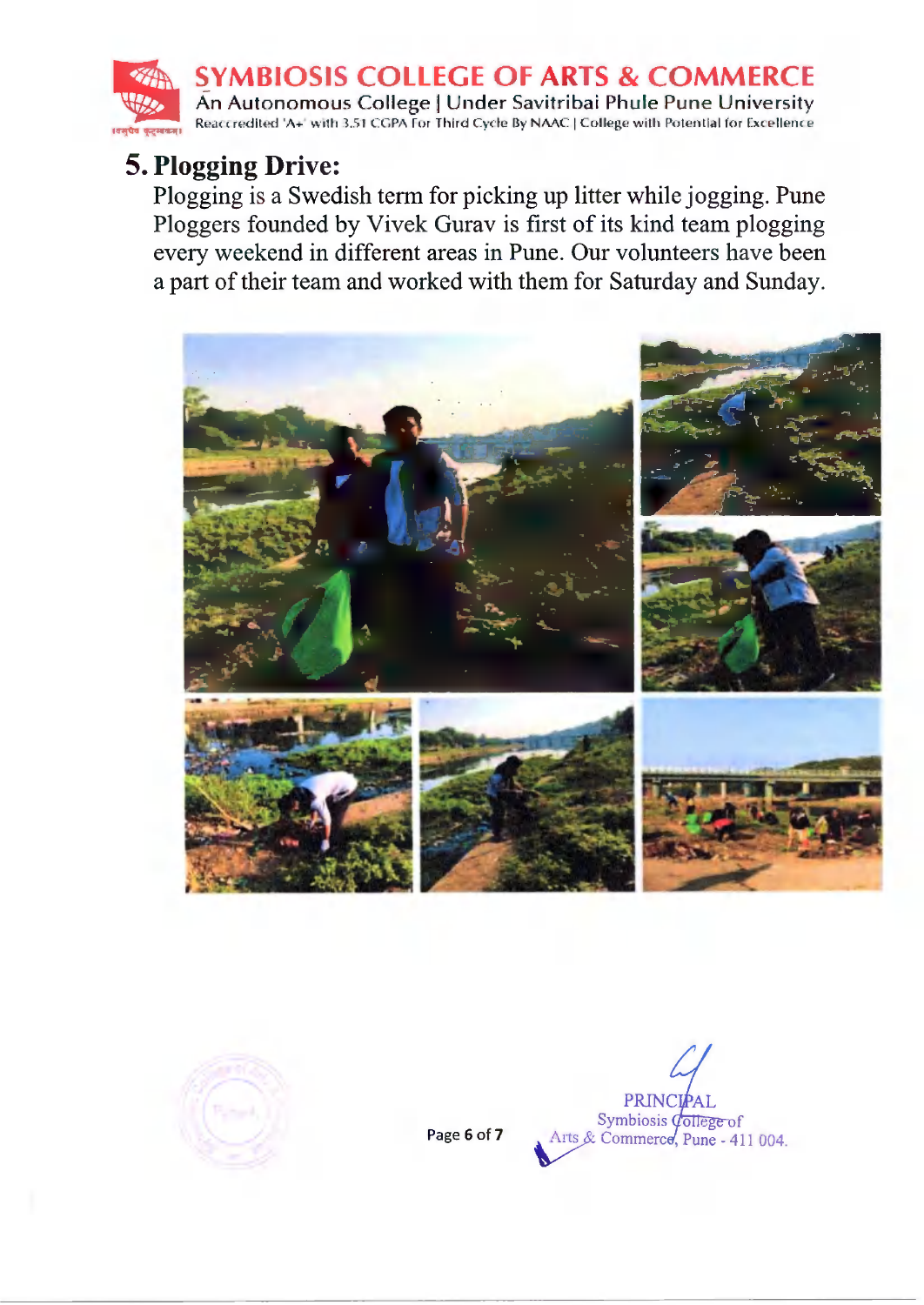**SYMBIOSIS COLLEGE OF ARTS & COMMERCE** An Autonomous College | Under Savitribai Phule Pune University Reaccredited 'A+' with 3.51 CGPA For Third Cycle By NAAC | College with Potential for Excellence

# 5. Plogging Drive:

Plogging is a Swedish term for picking up litter while jogging. Pune Ploggers founded by Vivek Gurav is first of its kind team plogging every weekend in different areas in Pune. Our volunteers have been a part of their team and worked with them for Saturday and Sunday.





Page 6 of 7

PRINCIPAL Symbiosis *dollege* of<br>Arts & Commerce, Pune - 411 004.